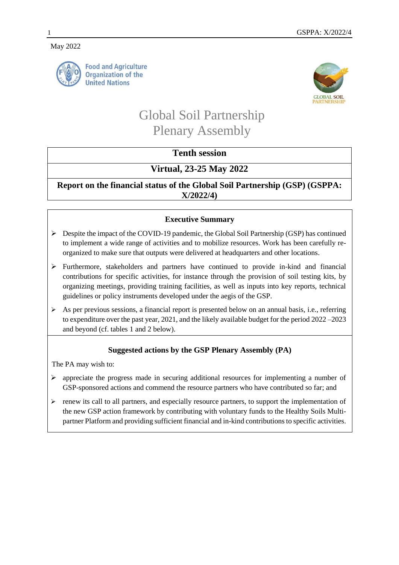#### May 2022



**Food and Agriculture Organization of the United Nations** 



# Global Soil Partnership Plenary Assembly

# **Tenth session**

# **Virtual, 23-25 May 2022**

**Report on the financial status of the Global Soil Partnership (GSP) (GSPPA: X/2022/4)**

## **Executive Summary**

- $\triangleright$  Despite the impact of the COVID-19 pandemic, the Global Soil Partnership (GSP) has continued to implement a wide range of activities and to mobilize resources. Work has been carefully reorganized to make sure that outputs were delivered at headquarters and other locations.
- $\triangleright$  Furthermore, stakeholders and partners have continued to provide in-kind and financial contributions for specific activities, for instance through the provision of soil testing kits, by organizing meetings, providing training facilities, as well as inputs into key reports, technical guidelines or policy instruments developed under the aegis of the GSP.
- $\triangleright$  As per previous sessions, a financial report is presented below on an annual basis, i.e., referring to expenditure over the past year, 2021, and the likely available budget for the period 2022 –2023 and beyond (cf. tables 1 and 2 below).

## **Suggested actions by the GSP Plenary Assembly (PA)**

The PA may wish to:

- $\triangleright$  appreciate the progress made in securing additional resources for implementing a number of GSP-sponsored actions and commend the resource partners who have contributed so far; and
- $\triangleright$  renew its call to all partners, and especially resource partners, to support the implementation of the new GSP action framework by contributing with voluntary funds to the Healthy Soils Multipartner Platform and providing sufficient financial and in-kind contributions to specific activities.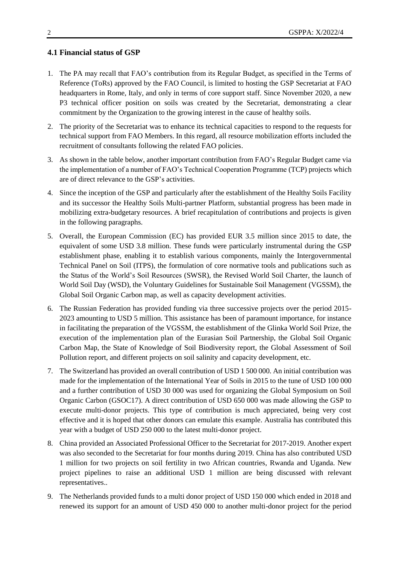#### **4.1 Financial status of GSP**

- 1. The PA may recall that FAO's contribution from its Regular Budget, as specified in the Terms of Reference (ToRs) approved by the FAO Council, is limited to hosting the GSP Secretariat at FAO headquarters in Rome, Italy, and only in terms of core support staff. Since November 2020, a new P3 technical officer position on soils was created by the Secretariat, demonstrating a clear commitment by the Organization to the growing interest in the cause of healthy soils.
- 2. The priority of the Secretariat was to enhance its technical capacities to respond to the requests for technical support from FAO Members. In this regard, all resource mobilization efforts included the recruitment of consultants following the related FAO policies.
- 3. As shown in the table below, another important contribution from FAO's Regular Budget came via the implementation of a number of FAO's Technical Cooperation Programme (TCP) projects which are of direct relevance to the GSP's activities.
- 4. Since the inception of the GSP and particularly after the establishment of the Healthy Soils Facility and its successor the Healthy Soils Multi-partner Platform, substantial progress has been made in mobilizing extra-budgetary resources. A brief recapitulation of contributions and projects is given in the following paragraphs.
- 5. Overall, the European Commission (EC) has provided EUR 3.5 million since 2015 to date, the equivalent of some USD 3.8 million. These funds were particularly instrumental during the GSP establishment phase, enabling it to establish various components, mainly the Intergovernmental Technical Panel on Soil (ITPS), the formulation of core normative tools and publications such as the Status of the World's Soil Resources (SWSR), the Revised World Soil Charter, the launch of World Soil Day (WSD), the Voluntary Guidelines for Sustainable Soil Management (VGSSM), the Global Soil Organic Carbon map, as well as capacity development activities.
- 6. The Russian Federation has provided funding via three successive projects over the period 2015- 2023 amounting to USD 5 million. This assistance has been of paramount importance, for instance in facilitating the preparation of the VGSSM, the establishment of the Glinka World Soil Prize, the execution of the implementation plan of the Eurasian Soil Partnership, the Global Soil Organic Carbon Map, the State of Knowledge of Soil Biodiversity report, the Global Assessment of Soil Pollution report, and different projects on soil salinity and capacity development, etc.
- 7. The Switzerland has provided an overall contribution of USD 1 500 000. An initial contribution was made for the implementation of the International Year of Soils in 2015 to the tune of USD 100 000 and a further contribution of USD 30 000 was used for organizing the Global Symposium on Soil Organic Carbon (GSOC17). A direct contribution of USD 650 000 was made allowing the GSP to execute multi-donor projects. This type of contribution is much appreciated, being very cost effective and it is hoped that other donors can emulate this example. Australia has contributed this year with a budget of USD 250 000 to the latest multi-donor project.
- 8. China provided an Associated Professional Officer to the Secretariat for 2017-2019. Another expert was also seconded to the Secretariat for four months during 2019. China has also contributed USD 1 million for two projects on soil fertility in two African countries, Rwanda and Uganda. New project pipelines to raise an additional USD 1 million are being discussed with relevant representatives..
- 9. The Netherlands provided funds to a multi donor project of USD 150 000 which ended in 2018 and renewed its support for an amount of USD 450 000 to another multi-donor project for the period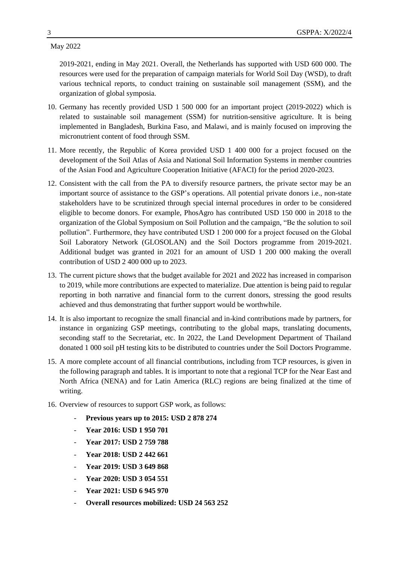May 2022

2019-2021, ending in May 2021. Overall, the Netherlands has supported with USD 600 000. The resources were used for the preparation of campaign materials for World Soil Day (WSD), to draft various technical reports, to conduct training on sustainable soil management (SSM), and the organization of global symposia.

- 10. Germany has recently provided USD 1 500 000 for an important project (2019-2022) which is related to sustainable soil management (SSM) for nutrition-sensitive agriculture. It is being implemented in Bangladesh, Burkina Faso, and Malawi, and is mainly focused on improving the micronutrient content of food through SSM.
- 11. More recently, the Republic of Korea provided USD 1 400 000 for a project focused on the development of the Soil Atlas of Asia and National Soil Information Systems in member countries of the Asian Food and Agriculture Cooperation Initiative (AFACI) for the period 2020-2023.
- 12. Consistent with the call from the PA to diversify resource partners, the private sector may be an important source of assistance to the GSP's operations. All potential private donors i.e., non-state stakeholders have to be scrutinized through special internal procedures in order to be considered eligible to become donors. For example, PhosAgro has contributed USD 150 000 in 2018 to the organization of the Global Symposium on Soil Pollution and the campaign, "Be the solution to soil pollution". Furthermore, they have contributed USD 1 200 000 for a project focused on the Global Soil Laboratory Network (GLOSOLAN) and the Soil Doctors programme from 2019-2021. Additional budget was granted in 2021 for an amount of USD 1 200 000 making the overall contribution of USD 2 400 000 up to 2023.
- 13. The current picture shows that the budget available for 2021 and 2022 has increased in comparison to 2019, while more contributions are expected to materialize. Due attention is being paid to regular reporting in both narrative and financial form to the current donors, stressing the good results achieved and thus demonstrating that further support would be worthwhile.
- 14. It is also important to recognize the small financial and in-kind contributions made by partners, for instance in organizing GSP meetings, contributing to the global maps, translating documents, seconding staff to the Secretariat, etc. In 2022, the Land Development Department of Thailand donated 1 000 soil pH testing kits to be distributed to countries under the Soil Doctors Programme.
- 15. A more complete account of all financial contributions, including from TCP resources, is given in the following paragraph and tables. It is important to note that a regional TCP for the Near East and North Africa (NENA) and for Latin America (RLC) regions are being finalized at the time of writing.
- 16. Overview of resources to support GSP work, as follows:
	- **Previous years up to 2015: USD 2 878 274**
	- **Year 2016: USD 1 950 701**
	- **Year 2017: USD 2 759 788**
	- **Year 2018: USD 2 442 661**
	- **Year 2019: USD 3 649 868**
	- **Year 2020: USD 3 054 551**
	- **Year 2021: USD 6 945 970**
	- **Overall resources mobilized: USD 24 563 252**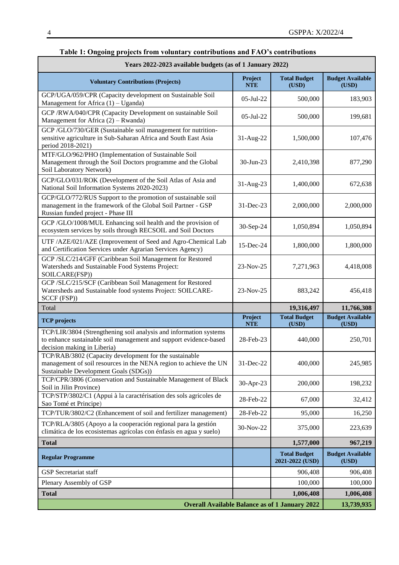| Years 2022-2023 available budgets (as of 1 January 2022)                                                                                                              |                       |                                                                    |                                  |  |
|-----------------------------------------------------------------------------------------------------------------------------------------------------------------------|-----------------------|--------------------------------------------------------------------|----------------------------------|--|
| <b>Voluntary Contributions (Projects)</b>                                                                                                                             | Project<br><b>NTE</b> | <b>Total Budget</b><br>(USD)                                       | <b>Budget Available</b><br>(USD) |  |
| GCP/UGA/059/CPR (Capacity development on Sustainable Soil<br>Management for Africa (1) - Uganda)                                                                      | 05-Jul-22             | 500,000                                                            | 183,903                          |  |
| GCP /RWA/040/CPR (Capacity Development on sustainable Soil<br>Management for Africa $(2)$ – Rwanda)                                                                   | $05$ -Jul-22          | 500,000                                                            | 199,681                          |  |
| GCP/GLO/730/GER (Sustainable soil management for nutrition-<br>sensitive agriculture in Sub-Saharan Africa and South East Asia<br>period 2018-2021)                   | 31-Aug-22             | 1,500,000                                                          | 107,476                          |  |
| MTF/GLO/962/PHO (Implementation of Sustainable Soil<br>Management through the Soil Doctors programme and the Global<br>Soil Laboratory Network)                       | 30-Jun-23             | 2,410,398                                                          | 877,290                          |  |
| GCP/GLO/031/ROK (Development of the Soil Atlas of Asia and<br>National Soil Information Systems 2020-2023)                                                            | 31-Aug-23             | 1,400,000                                                          | 672,638                          |  |
| GCP/GLO/772/RUS Support to the promotion of sustainable soil<br>management in the framework of the Global Soil Partner - GSP<br>Russian funded project - Phase III    | 31-Dec-23             | 2,000,000                                                          | 2,000,000                        |  |
| GCP/GLO/1008/MUL Enhancing soil health and the provision of<br>ecosystem services by soils through RECSOIL and Soil Doctors                                           | 30-Sep-24             | 1,050,894                                                          | 1,050,894                        |  |
| UTF /AZE/021/AZE (Improvement of Seed and Agro-Chemical Lab<br>and Certification Services under Agrarian Services Agency)                                             | 15-Dec-24             | 1,800,000                                                          | 1,800,000                        |  |
| GCP /SLC/214/GFF (Caribbean Soil Management for Restored<br>Watersheds and Sustainable Food Systems Project:<br>SOILCARE(FSP))                                        | 23-Nov-25             | 7,271,963                                                          | 4,418,008                        |  |
| GCP /SLC/215/SCF (Caribbean Soil Management for Restored<br>Watersheds and Sustainable food systems Project: SOILCARE-                                                |                       |                                                                    |                                  |  |
| SCCF (FSP))                                                                                                                                                           | 23-Nov-25             | 883,242                                                            | 456,418                          |  |
| Total                                                                                                                                                                 |                       | 19,316,497                                                         | 11,766,308                       |  |
| <b>TCP</b> projects                                                                                                                                                   | Project<br><b>NTE</b> | <b>Total Budget</b><br>(USD)                                       | <b>Budget Available</b><br>(USD) |  |
| TCP/LIR/3804 (Strengthening soil analysis and information systems<br>to enhance sustainable soil management and support evidence-based<br>decision making in Liberia) | 28-Feb-23             | 440,000                                                            | 250,701                          |  |
| TCP/RAB/3802 (Capacity development for the sustainable<br>management of soil resources in the NENA region to achieve the UN<br>Sustainable Development Goals (SDGs))  | 31-Dec-22             | 400,000                                                            | 245,985                          |  |
| TCP/CPR/3806 (Conservation and Sustainable Management of Black<br>Soil in Jilin Province)                                                                             | 30-Apr-23             | 200,000                                                            | 198,232                          |  |
| TCP/STP/3802/C1 (Appui à la caractérisation des sols agricoles de<br>Sao Tomé et Principe)                                                                            | 28-Feb-22             | 67,000                                                             | 32,412                           |  |
| TCP/TUR/3802/C2 (Enhancement of soil and fertilizer management)                                                                                                       | 28-Feb-22             | 95,000                                                             | 16,250                           |  |
| TCP/RLA/3805 (Apoyo a la cooperación regional para la gestión<br>climática de los ecosistemas agrícolas con énfasis en agua y suelo)                                  | 30-Nov-22             | 375,000                                                            | 223,639                          |  |
| <b>Total</b>                                                                                                                                                          |                       | 1,577,000                                                          | 967,219                          |  |
| <b>Regular Programme</b>                                                                                                                                              |                       | <b>Total Budget</b><br>2021-2022 (USD)                             | <b>Budget Available</b><br>(USD) |  |
| <b>GSP</b> Secretariat staff                                                                                                                                          |                       | 906,408                                                            | 906,408                          |  |
| Plenary Assembly of GSP                                                                                                                                               |                       | 100,000                                                            | 100,000                          |  |
| <b>Total</b>                                                                                                                                                          |                       | 1,006,408<br><b>Overall Available Balance as of 1 January 2022</b> | 1,006,408<br>13,739,935          |  |

#### **Table 1: Ongoing projects from voluntary contributions and FAO's contributions**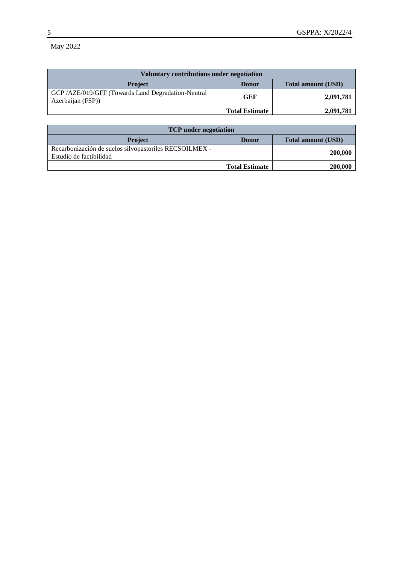May 2022

| <b>Voluntary contributions under negotiation</b>                       |              |                           |  |
|------------------------------------------------------------------------|--------------|---------------------------|--|
| <b>Project</b>                                                         | <b>Donor</b> | <b>Total amount (USD)</b> |  |
| GCP/AZE/019/GFF (Towards Land Degradation-Neutral<br>Azerbaijan (FSP)) | <b>GEF</b>   | 2,091,781                 |  |
| <b>Total Estimate</b>                                                  |              | 2,091,781                 |  |

| <b>TCP</b> under negotiation                                                      |                       |                           |
|-----------------------------------------------------------------------------------|-----------------------|---------------------------|
| <b>Project</b>                                                                    | <b>Donor</b>          | <b>Total amount (USD)</b> |
| Recarbonización de suelos silvopastoriles RECSOILMEX -<br>Estudio de factibilidad |                       | 200,000                   |
|                                                                                   | <b>Total Estimate</b> | 200,000                   |